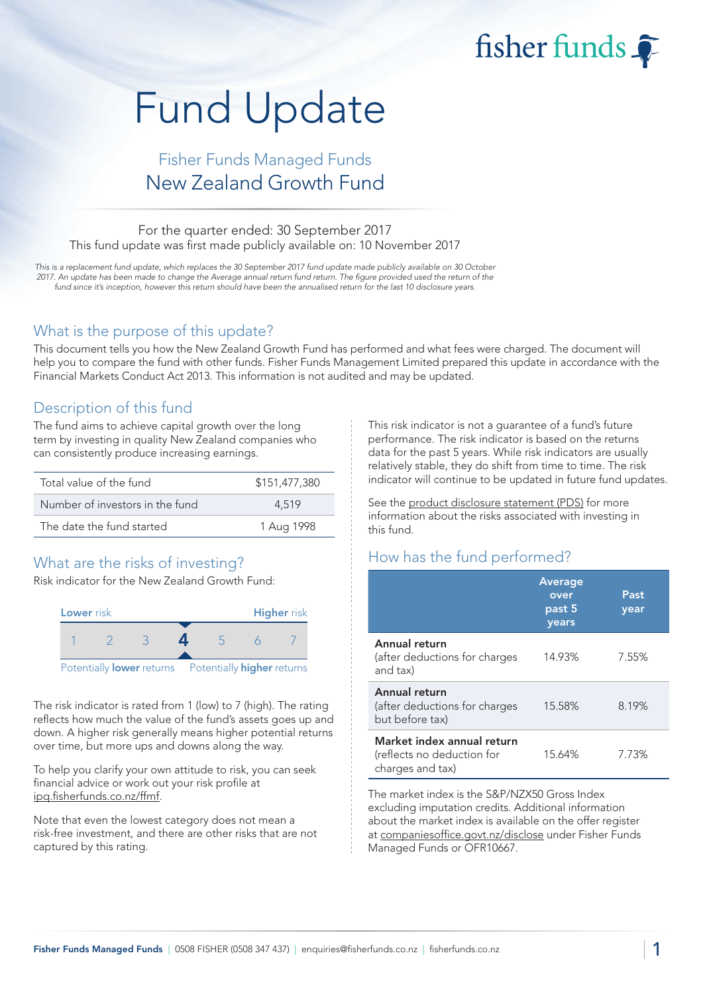# Fund Update

## Fisher Funds Managed Funds New Zealand Growth Fund

#### For the quarter ended: 30 September 2017 This fund update was first made publicly available on: 10 November 2017

This is a replacement fund update, which replaces the 30 September 2017 fund update made publicly available on 30 October 2017. An update has been made to change the Average annual return fund return. The figure provided used the return of the fund since it's inception, however this return should have been the annualised return for the last 10 disclosure years.

#### What is the purpose of this update?

This document tells you how the New Zealand Growth Fund has performed and what fees were charged. The document will help you to compare the fund with other funds. Fisher Funds Management Limited prepared this update in accordance with the Financial Markets Conduct Act 2013. This information is not audited and may be updated.

#### Description of this fund

The fund aims to achieve capital growth over the long term by investing in quality New Zealand companies who can consistently produce increasing earnings.

| Total value of the fund         | \$151,477,380 |
|---------------------------------|---------------|
| Number of investors in the fund | 4.519         |
| The date the fund started       | 1 Aug 1998    |

## What are the risks of investing?

Risk indicator for the New Zealand Growth Fund:



The risk indicator is rated from 1 (low) to 7 (high). The rating reflects how much the value of the fund's assets goes up and down. A higher risk generally means higher potential returns over time, but more ups and downs along the way.

To help you clarify your own attitude to risk, you can seek financial advice or work out your risk profile at [ipq.fisherfunds.co.nz/ffmf.](https://ipq.fisherfunds.co.nz/ffmf)

Note that even the lowest category does not mean a risk-free investment, and there are other risks that are not captured by this rating.

This risk indicator is not a guarantee of a fund's future performance. The risk indicator is based on the returns data for the past 5 years. While risk indicators are usually relatively stable, they do shift from time to time. The risk indicator will continue to be updated in future fund updates.

fisher funds

See the [product disclosure statement \(PDS\)](https://fisherfunds.co.nz/assets/PDS/Fisher-Funds-Managed-Funds-PDS.pdf) for more information about the risks associated with investing in this fund.

## How has the fund performed?

|                                                                              | <b>Average</b><br>over<br>past 5<br>years | Past<br>year |
|------------------------------------------------------------------------------|-------------------------------------------|--------------|
| Annual return<br>(after deductions for charges<br>and tax)                   | 14.93%                                    | 7.55%        |
| Annual return<br>(after deductions for charges<br>but before tax)            | 15.58%                                    | 8.19%        |
| Market index annual return<br>(reflects no deduction for<br>charges and tax) | 15.64%                                    | 7.73%        |

The market index is the S&P/NZX50 Gross Index excluding imputation credits. Additional information about the market index is available on the offer register at [companiesoffice.govt.nz/disclose](http://companiesoffice.govt.nz/disclose) under Fisher Funds Managed Funds or OFR10667.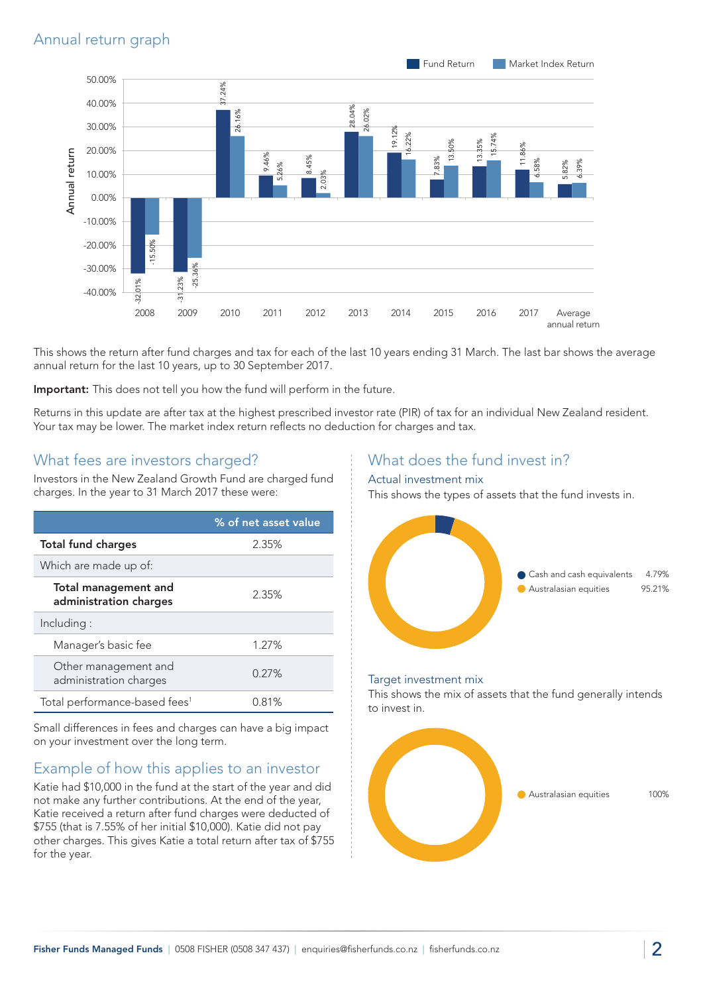

This shows the return after fund charges and tax for each of the last 10 years ending 31 March. The last bar shows the average annual return for the last 10 years, up to 30 September 2017.

Important: This does not tell you how the fund will perform in the future.

Returns in this update are after tax at the highest prescribed investor rate (PIR) of tax for an individual New Zealand resident. Your tax may be lower. The market index return reflects no deduction for charges and tax.

#### What fees are investors charged?

Investors in the New Zealand Growth Fund are charged fund charges. In the year to 31 March 2017 these were:

|                                                       | % of net asset value |
|-------------------------------------------------------|----------------------|
| <b>Total fund charges</b>                             | 2.35%                |
| Which are made up of:                                 |                      |
| <b>Total management and</b><br>administration charges | 2.35%                |
| Including:                                            |                      |
| Manager's basic fee                                   | 1.27%                |
| Other management and<br>administration charges        | 0.27%                |
| Total performance-based fees <sup>1</sup>             | 0.81%                |

Small differences in fees and charges can have a big impact on your investment over the long term.

## Example of how this applies to an investor

Katie had \$10,000 in the fund at the start of the year and did not make any further contributions. At the end of the year, Katie received a return after fund charges were deducted of \$755 (that is 7.55% of her initial \$10,000). Katie did not pay other charges. This gives Katie a total return after tax of \$755 for the year.

## What does the fund invest in?

#### Actual investment mix

This shows the types of assets that the fund invests in.



#### Target investment mix

This shows the mix of assets that the fund generally intends to invest in.